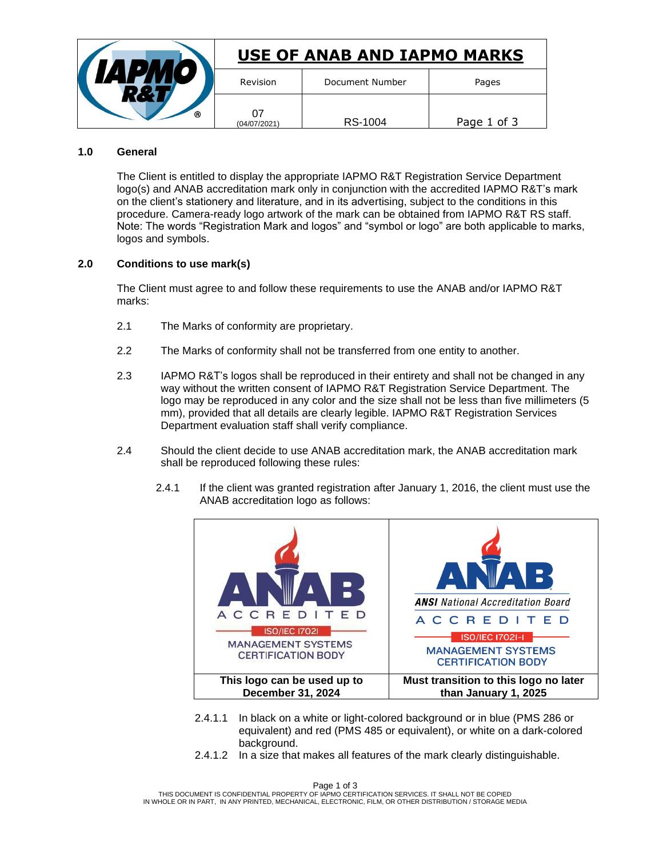|   | USE OF ANAB AND IAPMO MARKS |                 |             |
|---|-----------------------------|-----------------|-------------|
|   | Revision                    | Document Number | Pages       |
| ര | 07<br>(04/07/2021)          | RS-1004         | Page 1 of 3 |

## **1.0 General**

The Client is entitled to display the appropriate IAPMO R&T Registration Service Department logo(s) and ANAB accreditation mark only in conjunction with the accredited IAPMO R&T's mark on the client's stationery and literature, and in its advertising, subject to the conditions in this procedure. Camera-ready logo artwork of the mark can be obtained from IAPMO R&T RS staff. Note: The words "Registration Mark and logos" and "symbol or logo" are both applicable to marks, logos and symbols.

## **2.0 Conditions to use mark(s)**

The Client must agree to and follow these requirements to use the ANAB and/or IAPMO R&T marks:

- 2.1 The Marks of conformity are proprietary.
- 2.2 The Marks of conformity shall not be transferred from one entity to another.
- 2.3 IAPMO R&T's logos shall be reproduced in their entirety and shall not be changed in any way without the written consent of IAPMO R&T Registration Service Department. The logo may be reproduced in any color and the size shall not be less than five millimeters (5 mm), provided that all details are clearly legible. IAPMO R&T Registration Services Department evaluation staff shall verify compliance.
- 2.4 Should the client decide to use ANAB accreditation mark, the ANAB accreditation mark shall be reproduced following these rules:
	- 2.4.1 If the client was granted registration after January 1, 2016, the client must use the ANAB accreditation logo as follows:



- 2.4.1.1 In black on a white or light-colored background or in blue (PMS 286 or equivalent) and red (PMS 485 or equivalent), or white on a dark-colored background.
- 2.4.1.2 In a size that makes all features of the mark clearly distinguishable.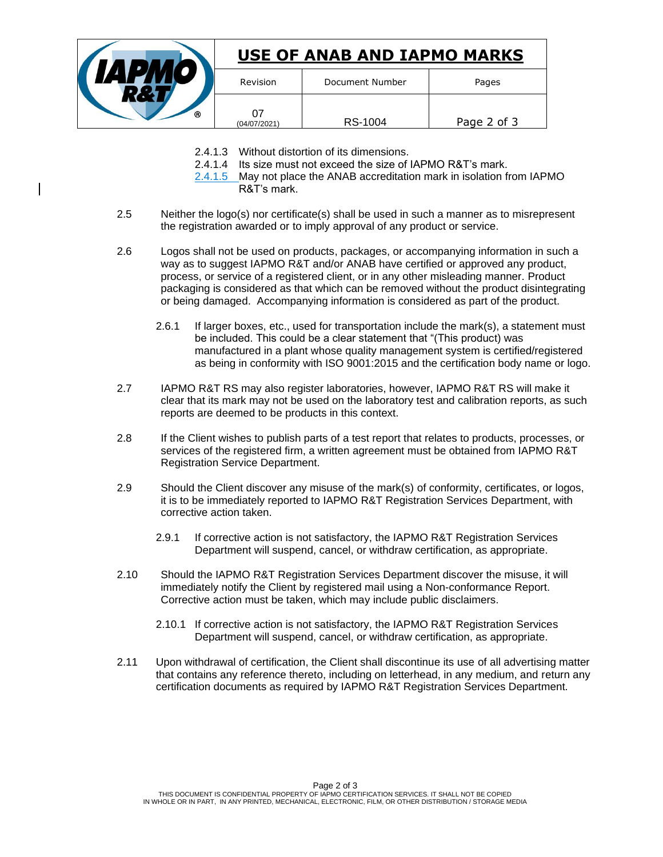

- 2.4.1.3 Without distortion of its dimensions.
- 2.4.1.4 Its size must not exceed the size of IAPMO R&T's mark.
- 2.4.1.5 May not place the ANAB accreditation mark in isolation from IAPMO R&T's mark.
- 2.5 Neither the logo(s) nor certificate(s) shall be used in such a manner as to misrepresent the registration awarded or to imply approval of any product or service.
- 2.6 Logos shall not be used on products, packages, or accompanying information in such a way as to suggest IAPMO R&T and/or ANAB have certified or approved any product, process, or service of a registered client, or in any other misleading manner. Product packaging is considered as that which can be removed without the product disintegrating or being damaged. Accompanying information is considered as part of the product.
	- 2.6.1 If larger boxes, etc., used for transportation include the mark(s), a statement must be included. This could be a clear statement that "(This product) was manufactured in a plant whose quality management system is certified/registered as being in conformity with ISO 9001:2015 and the certification body name or logo.
- 2.7 IAPMO R&T RS may also register laboratories, however, IAPMO R&T RS will make it clear that its mark may not be used on the laboratory test and calibration reports, as such reports are deemed to be products in this context.
- 2.8 If the Client wishes to publish parts of a test report that relates to products, processes, or services of the registered firm, a written agreement must be obtained from IAPMO R&T Registration Service Department.
- 2.9 Should the Client discover any misuse of the mark(s) of conformity, certificates, or logos, it is to be immediately reported to IAPMO R&T Registration Services Department, with corrective action taken.
	- 2.9.1 If corrective action is not satisfactory, the IAPMO R&T Registration Services Department will suspend, cancel, or withdraw certification, as appropriate.
- 2.10 Should the IAPMO R&T Registration Services Department discover the misuse, it will immediately notify the Client by registered mail using a Non-conformance Report. Corrective action must be taken, which may include public disclaimers.
	- 2.10.1 If corrective action is not satisfactory, the IAPMO R&T Registration Services Department will suspend, cancel, or withdraw certification, as appropriate.
- 2.11 Upon withdrawal of certification, the Client shall discontinue its use of all advertising matter that contains any reference thereto, including on letterhead, in any medium, and return any certification documents as required by IAPMO R&T Registration Services Department.